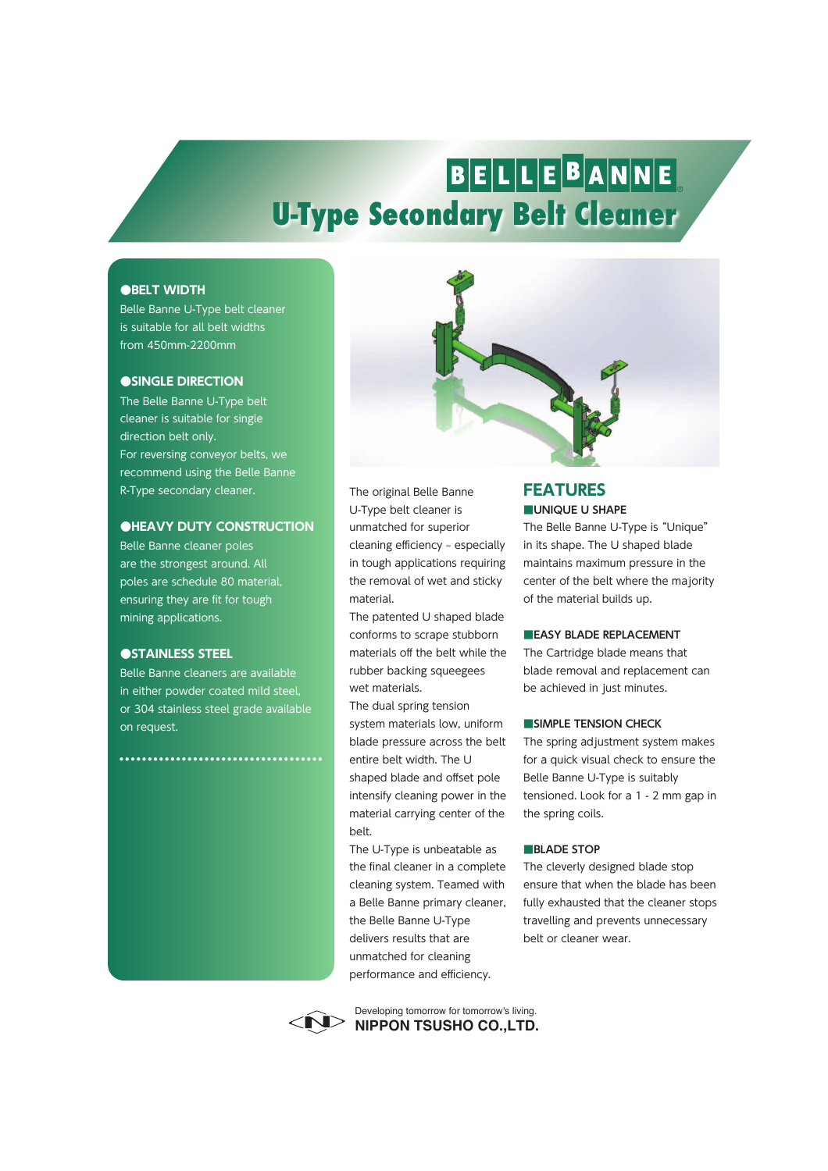# BELLEBANNE **U-Type Secondary Belt Cleaner**

## **●BELT WIDTH**

Belle Banne U-Type belt cleaner is suitable for all belt widths from 450mm-2200mm

### **●SINGLE DIRECTION**

The Belle Banne U-Type belt cleaner is suitable for single direction belt only. For reversing conveyor belts, we recommend using the Belle Banne R-Type secondary cleaner.

### **●HEAVY DUTY CONSTRUCTION**

Belle Banne cleaner poles are the strongest around. All poles are schedule 80 material, ensuring they are fit for tough mining applications.

# **●STAINLESS STEEL**

Belle Banne cleaners are available in either powder coated mild steel, or 304 stainless steel grade available on request.

................................



The original Belle Banne U-Type belt cleaner is unmatched for superior cleaning efficiency - especially in tough applications requiring the removal of wet and sticky material.

The patented U shaped blade conforms to scrape stubborn materials off the belt while the rubber backing squeegees wet materials.

The dual spring tension system materials low, uniform blade pressure across the belt entire belt width. The U shaped blade and offset pole intensify cleaning power in the material carrying center of the belt.

The U-Type is unbeatable as the final cleaner in a complete cleaning system. Teamed with a Belle Banne primary cleaner, the Belle Banne U-Type delivers results that are unmatched for cleaning performance and efficiency.

# **■UNIQUE U SHAPE FEATURES**

The Belle Banne U-Type is "Unique" in its shape. The U shaped blade maintains maximum pressure in the center of the belt where the majority of the material builds up.

#### **■EASY BLADE REPLACEMENT**

The Cartridge blade means that blade removal and replacement can be achieved in just minutes.

#### **■SIMPLE TENSION CHECK**

The spring adjustment system makes for a quick visual check to ensure the Belle Banne U-Type is suitably tensioned. Look for a 1 - 2 mm gap in the spring coils.

#### **■BLADE STOP**

The cleverly designed blade stop ensure that when the blade has been fully exhausted that the cleaner stops travelling and prevents unnecessary belt or cleaner wear.



**NIPPON TSUSHO CO.,LTD.** Developing tomorrow for tomorrow's living.